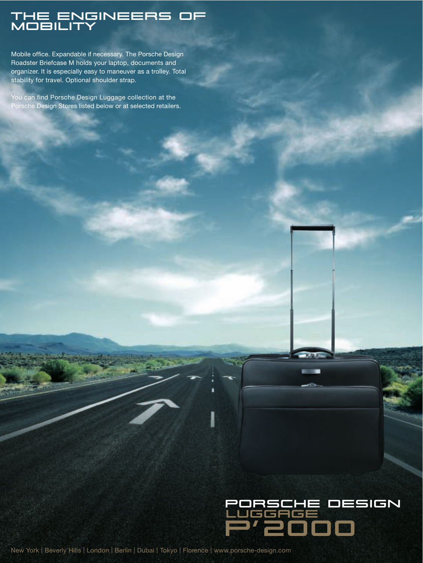### The ENgineers of MOBILITY

Mobile office. Expandable if necessary. The Porsche Design Roadster Briefcase M holds your laptop, documents and organizer. It is especially easy to maneuver as a trolley. Total stability for travel. Optional shoulder strap.

You can find Porsche Design Luggage collection at the Porsche Design Stores listed below or at selected retailers.



New York | Beverly Hills | London | Berlin | Dubai | Tokyo | Florence | www.porsche-design.com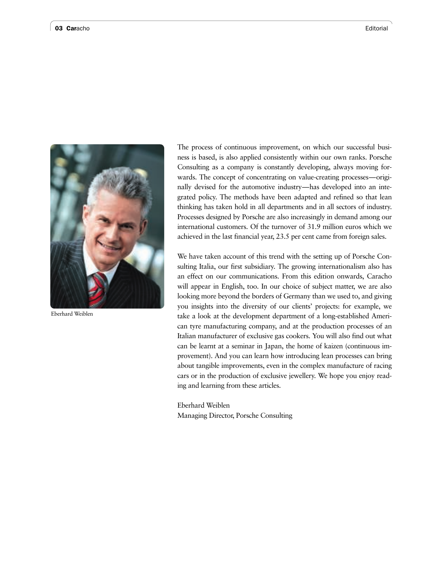

Eberhard Weiblen

The process of continuous improvement, on which our successful business is based, is also applied consistently within our own ranks. Porsche Consulting as a company is constantly developing, always moving forwards. The concept of concentrating on value-creating processes—originally devised for the automotive industry—has developed into an integrated policy. The methods have been adapted and refined so that lean thinking has taken hold in all departments and in all sectors of industry. Processes designed by Porsche are also increasingly in demand among our international customers. Of the turnover of 31.9 million euros which we achieved in the last financial year, 23.5 per cent came from foreign sales.

We have taken account of this trend with the setting up of Porsche Consulting Italia, our first subsidiary. The growing internationalism also has an effect on our communications. From this edition onwards, Caracho will appear in English, too. In our choice of subject matter, we are also looking more beyond the borders of Germany than we used to, and giving you insights into the diversity of our clients' projects: for example, we take a look at the development department of a long-established American tyre manufacturing company, and at the production processes of an Italian manufacturer of exclusive gas cookers. You will also find out what can be learnt at a seminar in Japan, the home of kaizen (continuous improvement). And you can learn how introducing lean processes can bring about tangible improvements, even in the complex manufacture of racing cars or in the production of exclusive jewellery. We hope you enjoy reading and learning from these articles.

Eberhard Weiblen Managing Director, Porsche Consulting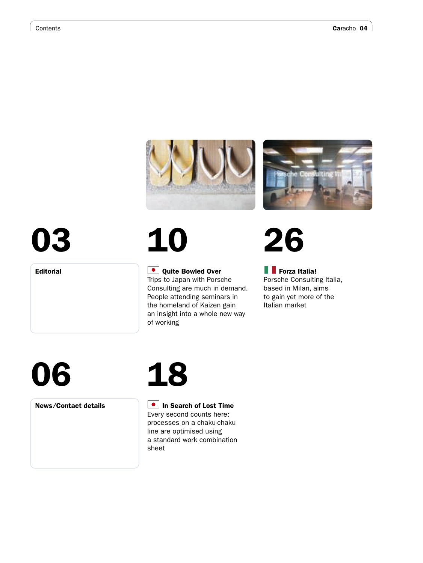



# 03

Editorial

## 10

### **Quite Bowled Over**

Trips to Japan with Porsche Consulting are much in demand. People attending seminars in the homeland of Kaizen gain an insight into a whole new way of working

## 26

### **Forza Italia!**

Porsche Consulting Italia, based in Milan, aims to gain yet more of the Italian market

## 06

News ⁄ Contact details

### 18